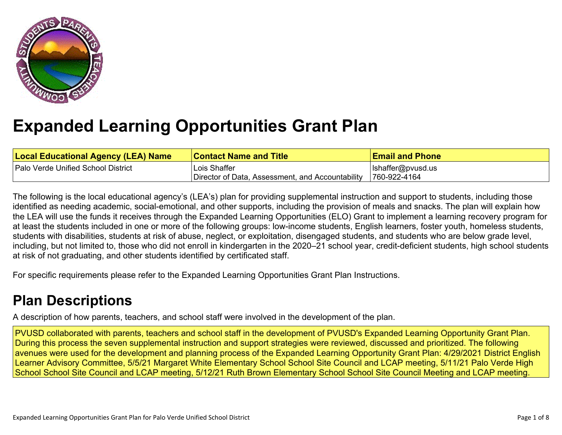

# **Expanded Learning [Opportunities](#page-4-0) Grant Plan**

| <b>Local Educational Agency (LEA) Name</b> | <b>Contact Name and Title</b>                    | <b>Email and Phone</b> |
|--------------------------------------------|--------------------------------------------------|------------------------|
| Palo Verde Unified School District         | Lois Shaffer                                     | Ishaffer@pvusd.us      |
|                                            | Director of Data, Assessment, and Accountability | 760-922-4164           |

The following is the local educational agency's (LEA's) plan for providing supplemental instruction and support to students, including those identified as needing academic, social-emotional, and other supports, including the provision of meals and snacks. The plan will explain how the LEA will use the funds it receives through the Expanded Learning Opportunities (ELO) Grant to implement a learning recovery program for at least the students included in one or more of the following groups: low-income students, English learners, foster youth, homeless students, students with disabilities, students at risk of abuse, neglect, or exploitation, disengaged students, and students who are below grade level, including, but not limited to, those who did not enroll in kindergarten in the 2020–21 school year, credit-deficient students, high school students at risk of not graduating, and other students identified by certificated staff.

For specific requirements please refer to the Expanded Learning Opportunities Grant Plan Instructions.

# **Plan [Descriptions](#page-6-0)**

A description of how parents, teachers, and school staff were involved in the [development](#page-6-1) of the plan.

PVUSD collaborated with parents, teachers and school staff in the development of PVUSD's Expanded Learning Opportunity Grant Plan. During this process the seven supplemental instruction and support strategies were reviewed, discussed and prioritized. The following avenues were used for the development and planning process of the Expanded Learning Opportunity Grant Plan: 4/29/2021 District English Learner Advisory Committee, 5/5/21 Margaret White Elementary School School Site Council and LCAP meeting, 5/11/21 Palo Verde High School School Site Council and LCAP meeting, 5/12/21 Ruth Brown Elementary School School Site Council Meeting and LCAP meeting.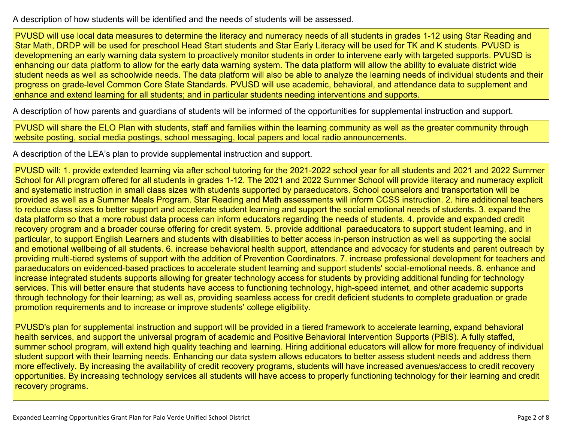A [description](#page-6-2) of how students will be identified and the needs of students will be assessed[.](#page-6-2)

PVUSD will use local data measures to determine the literacy and numeracy needs of all students in grades 1-12 using Star Reading and Star Math, DRDP will be used for preschool Head Start students and Star Early Literacy will be used for TK and K students. PVUSD is developmening an early warning data system to proactively monitor students in order to intervene early with targeted supports. PVUSD is enhancing our data platform to allow for the early data warning system. The data platform will allow the ability to evaluate district wide student needs as well as schoolwide needs. The data platform will also be able to analyze the learning needs of individual students and their progress on grade-level Common Core State Standards. PVUSD will use academic, behavioral, and attendance data to supplement and enhance and extend learning for all students; and in particular students needing interventions and supports.

A description of how parents and guardians of students will be informed of the opportunities for [supplemental](#page-6-3) instruction and support[.](#page-6-3)

PVUSD will share the ELO Plan with students, staff and families within the learning community as well as the greater community through website posting, social media postings, school messaging, local papers and local radio announcements.

A description of the LEA's plan to provide [supplemental](#page-6-4) instruction and support[.](#page-6-4)

PVUSD will: 1. provide extended learning via after school tutoring for the 2021-2022 school year for all students and 2021 and 2022 Summer School for All program offered for all students in grades 1-12. The 2021 and 2022 Summer School will provide literacy and numeracy explicit and systematic instruction in small class sizes with students supported by paraeducators. School counselors and transportation will be provided as well as a Summer Meals Program. Star Reading and Math assessments will inform CCSS instruction. 2. hire additional teachers to reduce class sizes to better support and accelerate student learning and support the social emotional needs of students. 3. expand the data platform so that a more robust data process can inform educators regarding the needs of students. 4. provide and expanded credit recovery program and a broader course offering for credit system. 5. provide additional paraeducators to support student learning, and in particular, to support English Learners and students with disabilities to better access in-person instruction as well as supporting the social and emotional wellbeing of all students. 6. increase behavioral health support, attendance and advocacy for students and parent outreach by providing multi-tiered systems of support with the addition of Prevention Coordinators. 7. increase professional development for teachers and paraeducators on evidenced-based practices to accelerate student learning and support students' social-emotional needs. 8. enhance and increase integrated students supports allowing for greater technology access for students by providing additional funding for technology services. This will better ensure that students have access to functioning technology, high-speed internet, and other academic supports through technology for their learning; as well as, providing seamless access for credit deficient students to complete graduation or grade promotion requirements and to increase or improve students' college eligibility.

PVUSD's plan for supplemental instruction and support will be provided in a tiered framework to accelerate learning, expand behavioral health services, and support the universal program of academic and Positive Behavioral Intervention Supports (PBIS). A fully staffed, summer school program, will extend high quality teaching and learning. Hiring additional educators will allow for more frequency of individual student support with their learning needs. Enhancing our data system allows educators to better assess student needs and address them more effectively. By increasing the availability of credit recovery programs, students will have increased avenues/access to credit recovery opportunities. By increasing technology services all students will have access to properly functioning technology for their learning and credit recovery programs.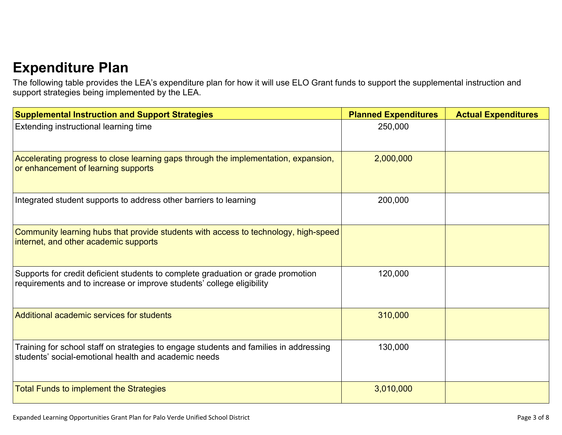# **[Expenditure](#page-7-0) Pla[n](#page-7-0)**

The following table provides the LEA's expenditure plan for how it will use ELO Grant funds to support the supplemental instruction and support strategies being implemented by the LEA.

| <b>Supplemental Instruction and Support Strategies</b>                                                                                                    | <b>Planned Expenditures</b> | <b>Actual Expenditures</b> |
|-----------------------------------------------------------------------------------------------------------------------------------------------------------|-----------------------------|----------------------------|
| Extending instructional learning time                                                                                                                     | 250,000                     |                            |
| Accelerating progress to close learning gaps through the implementation, expansion,<br>or enhancement of learning supports                                | 2,000,000                   |                            |
| Integrated student supports to address other barriers to learning                                                                                         | 200,000                     |                            |
| Community learning hubs that provide students with access to technology, high-speed<br>internet, and other academic supports                              |                             |                            |
| Supports for credit deficient students to complete graduation or grade promotion<br>requirements and to increase or improve students' college eligibility | 120,000                     |                            |
| Additional academic services for students                                                                                                                 | 310,000                     |                            |
| Training for school staff on strategies to engage students and families in addressing<br>students' social-emotional health and academic needs             | 130,000                     |                            |
| <b>Total Funds to implement the Strategies</b>                                                                                                            | 3,010,000                   |                            |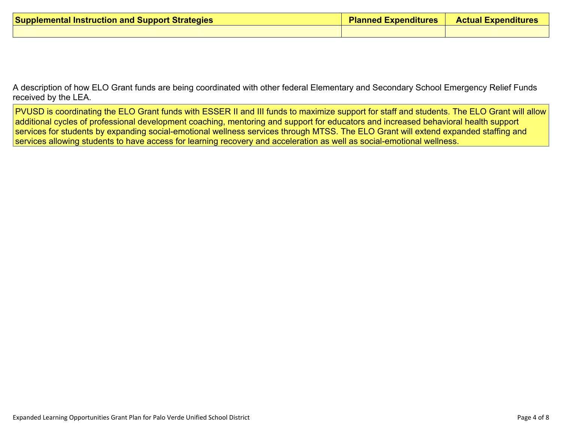| <b>Supplemental Instruction and Support Strategies</b> | <b>Planned Expenditures</b> | <b>Actual Expenditures</b> |
|--------------------------------------------------------|-----------------------------|----------------------------|
|                                                        |                             |                            |

A description of how ELO Grant funds are being [coordinated](#page-7-1) with other federal Elementary and Secondary School Emergency Relief Funds [received](#page-7-1) by the LEA.

PVUSD is coordinating the ELO Grant funds with ESSER II and III funds to maximize support for staff and students. The ELO Grant will allow additional cycles of professional development coaching, mentoring and support for educators and increased behavioral health support services for students by expanding social-emotional wellness services through MTSS. The ELO Grant will extend expanded staffing and services allowing students to have access for learning recovery and acceleration as well as social-emotional wellness.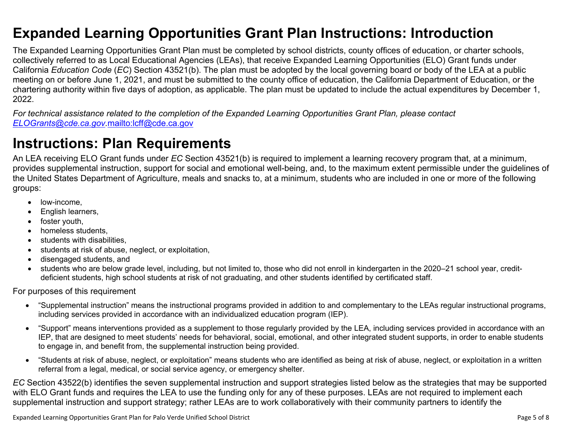### <span id="page-4-0"></span>**Expanded Learning Opportunities Grant Plan Instructions: Introduction**

The Expanded Learning Opportunities Grant Plan must be completed by school districts, county offices of education, or charter schools, collectively referred to as Local Educational Agencies (LEAs), that receive Expanded Learning Opportunities (ELO) Grant funds under California *Education Code* (*EC*) Section 43521(b). The plan must be adopted by the local governing board or body of the LEA at a public meeting on or before June 1, 2021, and must be submitted to the county office of education, the California Department of Education, or the chartering authority within five days of adoption, as applicable. The plan must be updated to include the actual expenditures by December 1, 2022.

For technical assistance related to the completion of the Expanded Learning Opportunities Grant Plan, please contact *[ELOGrants@cde.ca.gov](mailto:ELOGrants@cde.ca.gov).*<mailto:lcff@cde.ca.gov>

### **Instructions: Plan Requirements**

An LEA receiving ELO Grant funds under *EC* Section 43521(b) is required to implement a learning recovery program that, at a minimum, provides supplemental instruction, support for social and emotional well-being, and, to the maximum extent permissible under the guidelines of the United States Department of Agriculture, meals and snacks to, at a minimum, students who are included in one or more of the following groups:

- low-income.
- English learners,
- foster youth,
- homeless students,
- students with disabilities.
- students at risk of abuse, neglect, or exploitation,
- disengaged students, and
- students who are below grade level, including, but not limited to, those who did not enroll in kindergarten in the 2020–21 school year, creditdeficient students, high school students at risk of not graduating, and other students identified by certificated staff.

For purposes of this requirement

- "Supplemental instruction" means the instructional programs provided in addition to and complementary to the LEAs regular instructional programs, including services provided in accordance with an individualized education program (IEP).
- "Support" means interventions provided as a supplement to those regularly provided by the LEA, including services provided in accordance with an IEP, that are designed to meet students' needs for behavioral, social, emotional, and other integrated student supports, in order to enable students to engage in, and benefit from, the supplemental instruction being provided.
- "Students at risk of abuse, neglect, or exploitation" means students who are identified as being at risk of abuse, neglect, or exploitation in a written referral from a legal, medical, or social service agency, or emergency shelter.

*EC* Section 43522(b) identifies the seven supplemental instruction and support strategies listed below as the strategies that may be supported with ELO Grant funds and requires the LEA to use the funding only for any of these purposes. LEAs are not required to implement each supplemental instruction and support strategy; rather LEAs are to work collaboratively with their community partners to identify the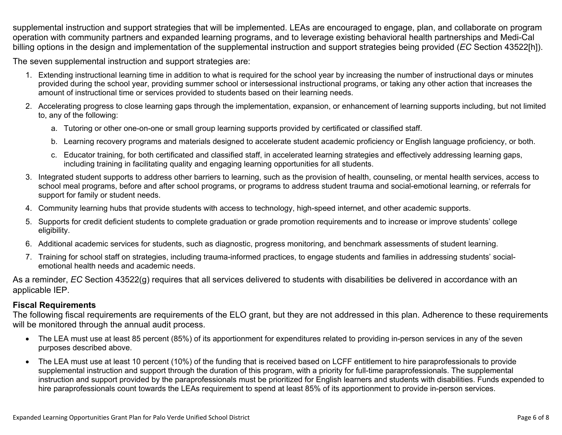supplemental instruction and support strategies that will be implemented. LEAs are encouraged to engage, plan, and collaborate on program operation with community partners and expanded learning programs, and to leverage existing behavioral health partnerships and Medi-Cal billing options in the design and implementation of the supplemental instruction and support strategies being provided (*EC* Section 43522[h]).

The seven supplemental instruction and support strategies are:

- 1. Extending instructional learning time in addition to what is required for the school year by increasing the number of instructional days or minutes provided during the school year, providing summer school or intersessional instructional programs, or taking any other action that increases the amount of instructional time or services provided to students based on their learning needs.
- 2. Accelerating progress to close learning gaps through the implementation, expansion, or enhancement of learning supports including, but not limited to, any of the following:
	- a. Tutoring or other one-on-one or small group learning supports provided by certificated or classified staff.
	- b. Learning recovery programs and materials designed to accelerate student academic proficiency or English language proficiency, or both.
	- c. Educator training, for both certificated and classified staff, in accelerated learning strategies and effectively addressing learning gaps, including training in facilitating quality and engaging learning opportunities for all students.
- 3. Integrated student supports to address other barriers to learning, such as the provision of health, counseling, or mental health services, access to school meal programs, before and after school programs, or programs to address student trauma and social-emotional learning, or referrals for support for family or student needs.
- 4. Community learning hubs that provide students with access to technology, high-speed internet, and other academic supports.
- 5. Supports for credit deficient students to complete graduation or grade promotion requirements and to increase or improve students' college eligibility.
- 6. Additional academic services for students, such as diagnostic, progress monitoring, and benchmark assessments of student learning.
- 7. Training for school staff on strategies, including trauma-informed practices, to engage students and families in addressing students' socialemotional health needs and academic needs.

As a reminder, *EC* Section 43522(g) requires that all services delivered to students with disabilities be delivered in accordance with an applicable IEP.

#### **Fiscal Requirements**

The following fiscal requirements are requirements of the ELO grant, but they are not addressed in this plan. Adherence to these requirements will be monitored through the annual audit process.

- The LEA must use at least 85 percent (85%) of its apportionment for expenditures related to providing in-person services in any of the seven purposes described above.
- The LEA must use at least 10 percent (10%) of the funding that is received based on LCFF entitlement to hire paraprofessionals to provide supplemental instruction and support through the duration of this program, with a priority for full-time paraprofessionals. The supplemental instruction and support provided by the paraprofessionals must be prioritized for English learners and students with disabilities. Funds expended to hire paraprofessionals count towards the LEAs requirement to spend at least 85% of its apportionment to provide in-person services.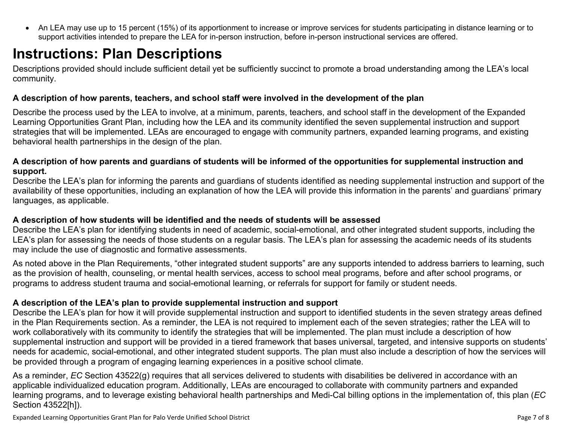<span id="page-6-0"></span> An LEA may use up to 15 percent (15%) of its apportionment to increase or improve services for students participating in distance learning or to support activities intended to prepare the LEA for in-person instruction, before in-person instructional services are offered.

# **Instructions: Plan Descriptions**

Descriptions provided should include sufficient detail yet be sufficiently succinct to promote a broad understanding among the LEA's local community.

#### <span id="page-6-1"></span>**A description of how parents, teachers, and school staff were involved in the development of the plan**

Describe the process used by the LEA to involve, at a minimum, parents, teachers, and school staff in the development of the Expanded Learning Opportunities Grant Plan, including how the LEA and its community identified the seven supplemental instruction and support strategies that will be implemented. LEAs are encouraged to engage with community partners, expanded learning programs, and existing behavioral health partnerships in the design of the plan.

#### <span id="page-6-2"></span>A description of how parents and guardians of students will be informed of the opportunities for supplemental instruction and **support.**

Describe the LEA's plan for informing the parents and guardians of students identified as needing supplemental instruction and support of the availability of these opportunities, including an explanation of how the LEA will provide this information in the parents' and guardians' primary languages, as applicable.

#### <span id="page-6-3"></span>**A description of how students will be identified and the needs of students will be assessed**

Describe the LEA's plan for identifying students in need of academic, social-emotional, and other integrated student supports, including the LEA's plan for assessing the needs of those students on a regular basis. The LEA's plan for assessing the academic needs of its students may include the use of diagnostic and formative assessments.

As noted above in the Plan Requirements, "other integrated student supports" are any supports intended to address barriers to learning, such as the provision of health, counseling, or mental health services, access to school meal programs, before and after school programs, or programs to address student trauma and social-emotional learning, or referrals for support for family or student needs.

#### <span id="page-6-4"></span>**A description of the LEA's plan to provide supplemental instruction and support**

Describe the LEA's plan for how it will provide supplemental instruction and support to identified students in the seven strategy areas defined in the Plan Requirements section. As a reminder, the LEA is not required to implement each of the seven strategies; rather the LEA will to work collaboratively with its community to identify the strategies that will be implemented. The plan must include a description of how supplemental instruction and support will be provided in a tiered framework that bases universal, targeted, and intensive supports on students' needs for academic, social-emotional, and other integrated student supports. The plan must also include a description of how the services will be provided through a program of engaging learning experiences in a positive school climate.

As a reminder, *EC* Section 43522(g) requires that all services delivered to students with disabilities be delivered in accordance with an applicable individualized education program. Additionally, LEAs are encouraged to collaborate with community partners and expanded learning programs, and to leverage existing behavioral health partnerships and Medi-Cal billing options in the implementation of, this plan (*EC* Section 43522[h]).

Expanded Learning Opportunities Grant Plan for Palo Verde Unified School District **Page 7 of 8** Page 7 of 8